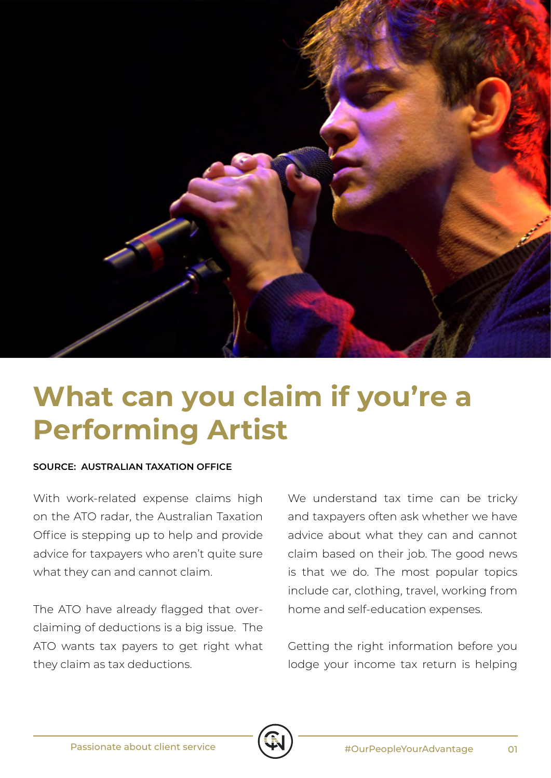

## **What can you claim if you're a Performing Artist**

## **SOURCE: AUSTRALIAN TAXATION OFFICE**

With work-related expense claims high on the ATO radar, the Australian Taxation Office is stepping up to help and provide advice for taxpayers who aren't quite sure what they can and cannot claim.

The ATO have already flagged that overclaiming of deductions is a big issue. The ATO wants tax payers to get right what they claim as tax deductions.

We understand tax time can be tricky and taxpayers often ask whether we have advice about what they can and cannot claim based on their job. The good news is that we do. The most popular topics include car, clothing, travel, working from home and self-education expenses.

Getting the right information before you lodge your income tax return is helping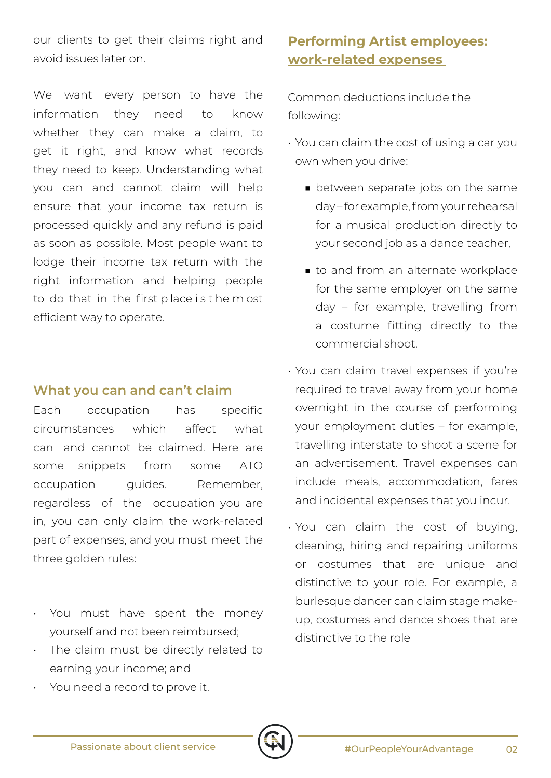our clients to get their claims right and avoid issues later on.

We want every person to have the information they need to know whether they can make a claim, to get it right, and know what records they need to keep. Understanding what you can and cannot claim will help ensure that your income tax return is processed quickly and any refund is paid as soon as possible. Most people want to lodge their income tax return with the right information and helping people to do that in the first p lace i s t he m ost efficient way to operate.

## **What you can and can't claim**

Each occupation has specific circumstances which affect what can and cannot be claimed. Here are some snippets from some ATO occupation quides. Remember, regardless of the occupation you are in, you can only claim the work-related part of expenses, and you must meet the three golden rules:

- You must have spent the money yourself and not been reimbursed;
- The claim must be directly related to earning your income; and

## **Performing Artist employees: work-related expenses**

Common deductions include the following:

- You can claim the cost of using a car you own when you drive:
	- between separate jobs on the same day – for example, from your rehearsal for a musical production directly to your second job as a dance teacher,
	- to and from an alternate workplace for the same employer on the same day – for example, travelling from a costume fitting directly to the commercial shoot.
- You can claim travel expenses if you're required to travel away from your home overnight in the course of performing your employment duties – for example, travelling interstate to shoot a scene for an advertisement. Travel expenses can include meals, accommodation, fares and incidental expenses that you incur.
- You can claim the cost of buying, cleaning, hiring and repairing uniforms or costumes that are unique and distinctive to your role. For example, a burlesque dancer can claim stage makeup, costumes and dance shoes that are distinctive to the role

You need a record to prove it.